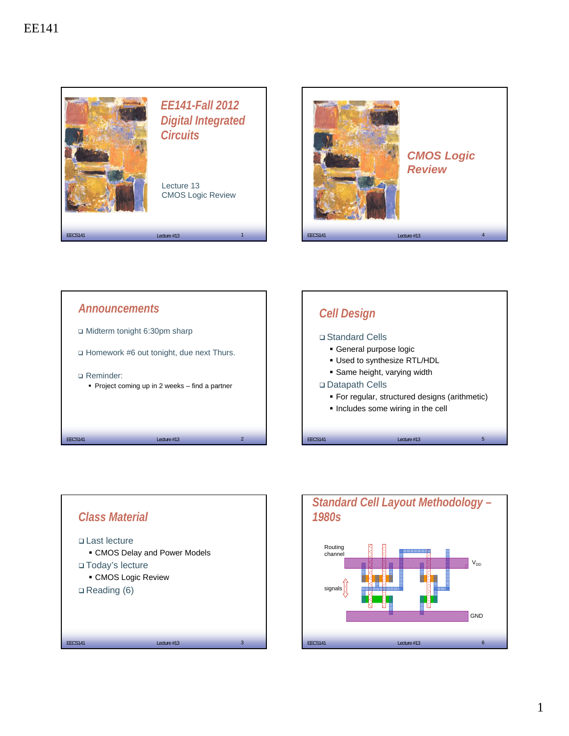

*CMOS Logic Review*





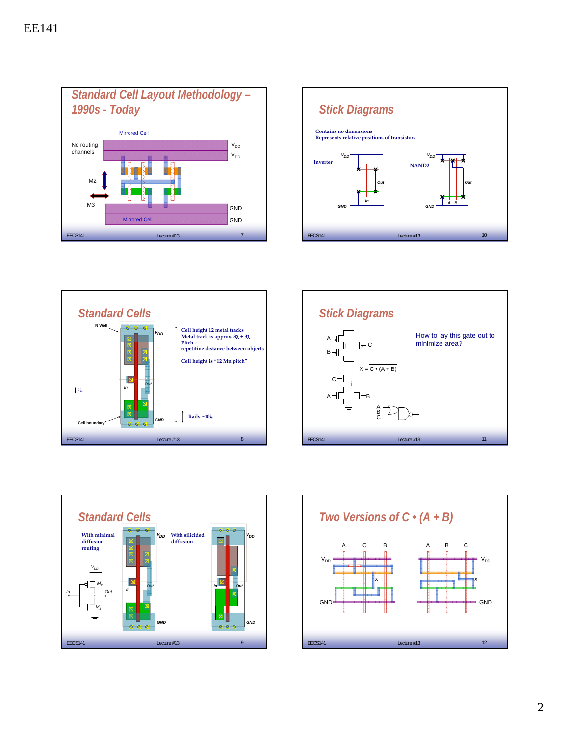









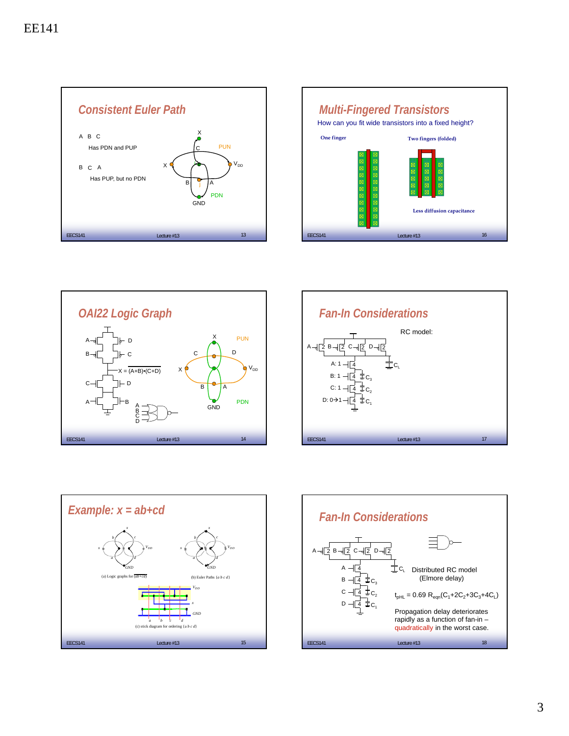









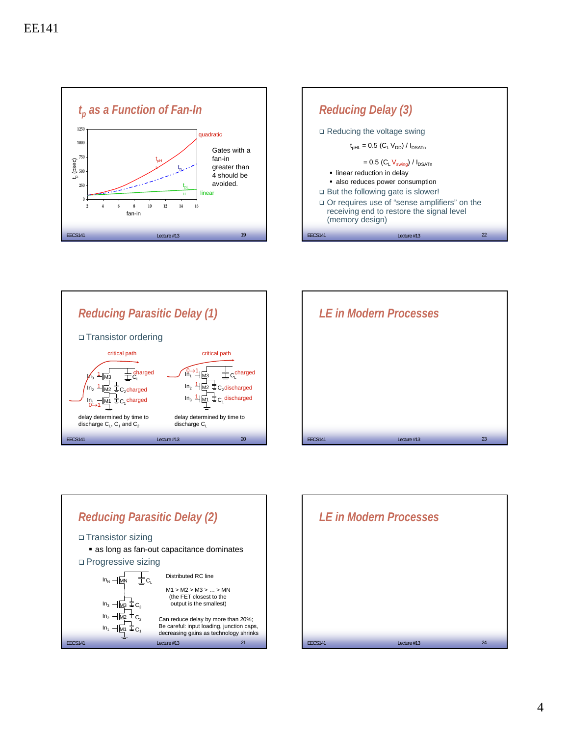